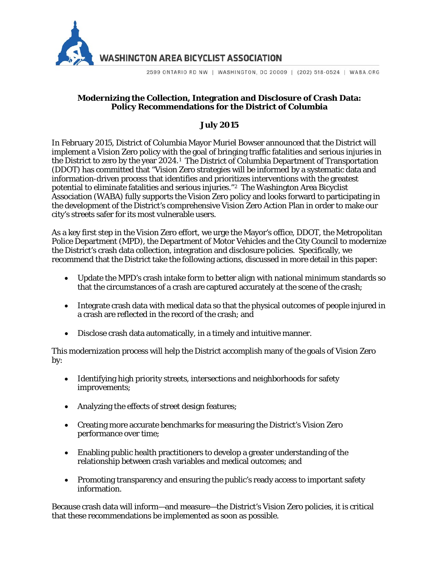

**WASHINGTON AREA BICYCLIST ASSOCIATION** 

2599 ONTARIO RD NW | WASHINGTON, DC 20009 | (202) 518-0524 | WABA.ORG

### **Modernizing the Collection, Integration and Disclosure of Crash Data: Policy Recommendations for the District of Columbia**

# **July 2015**

In February 2015, District of Columbia Mayor Muriel Bowser announced that the District will implement a Vision Zero policy with the goal of bringing traffic fatalities and serious injuries in the District to zero by the year 2024.[1](#page-4-0) The District of Columbia Department of Transportation (DDOT) has committed that "Vision Zero strategies will be informed by a systematic data and information-driven process that identifies and prioritizes interventions with the greatest potential to eliminate fatalities and serious injuries."[2](#page-4-1) The Washington Area Bicyclist Association (WABA) fully supports the Vision Zero policy and looks forward to participating in the development of the District's comprehensive Vision Zero Action Plan in order to make our city's streets safer for its most vulnerable users.

As a key first step in the Vision Zero effort, we urge the Mayor's office, DDOT, the Metropolitan Police Department (MPD), the Department of Motor Vehicles and the City Council to modernize the District's crash data collection, integration and disclosure policies. Specifically, we recommend that the District take the following actions, discussed in more detail in this paper:

- Update the MPD's crash intake form to better align with national minimum standards so that the circumstances of a crash are captured accurately at the scene of the crash;
- Integrate crash data with medical data so that the physical outcomes of people injured in a crash are reflected in the record of the crash; and
- Disclose crash data automatically, in a timely and intuitive manner.

This modernization process will help the District accomplish many of the goals of Vision Zero by:

- Identifying high priority streets, intersections and neighborhoods for safety improvements;
- Analyzing the effects of street design features;
- Creating more accurate benchmarks for measuring the District's Vision Zero performance over time;
- Enabling public health practitioners to develop a greater understanding of the relationship between crash variables and medical outcomes; and
- Promoting transparency and ensuring the public's ready access to important safety information.

Because crash data will inform—and measure—the District's Vision Zero policies, it is critical that these recommendations be implemented as soon as possible.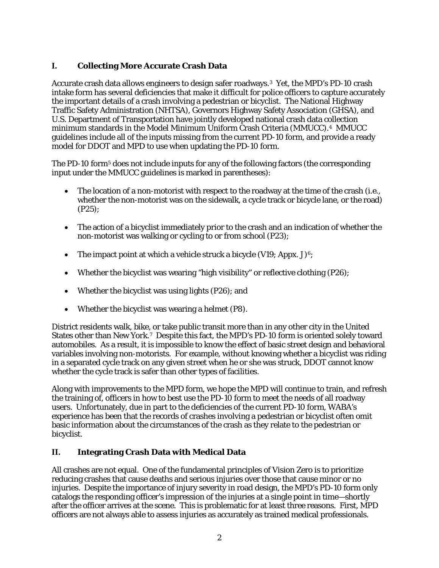# **I. Collecting More Accurate Crash Data**

Accurate crash data allows engineers to design safer roadways.[3](#page-4-2) Yet, the MPD's PD-10 crash intake form has several deficiencies that make it difficult for police officers to capture accurately the important details of a crash involving a pedestrian or bicyclist. The National Highway Traffic Safety Administration (NHTSA), Governors Highway Safety Association (GHSA), and U.S. Department of Transportation have jointly developed national crash data collection minimum standards in the Model Minimum Uniform Crash Criteria (MMUCC).[4](#page-4-3) MMUCC guidelines include all of the inputs missing from the current PD-10 form, and provide a ready model for DDOT and MPD to use when updating the PD-10 form.

The PD-10 form<sup>[5](#page-4-4)</sup> does not include inputs for any of the following factors (the corresponding input under the MMUCC guidelines is marked in parentheses):

- The location of a non-motorist with respect to the roadway at the time of the crash (*i.e.*, whether the non-motorist was on the sidewalk, a cycle track or bicycle lane, or the road) (P25);
- The action of a bicyclist immediately prior to the crash and an indication of whether the non-motorist was walking or cycling to or from school (P23);
- The impact point at which a vehicle struck a bicycle (V19; Appx. J)<sup>[6](#page-4-5)</sup>;
- Whether the bicyclist was wearing "high visibility" or reflective clothing (P26);
- Whether the bicyclist was using lights (P26); and
- Whether the bicyclist was wearing a helmet (P8).

District residents walk, bike, or take public transit more than in any other city in the United States other than New York.[7](#page-4-6) Despite this fact, the MPD's PD-10 form is oriented solely toward automobiles. As a result, it is impossible to know the effect of basic street design and behavioral variables involving non-motorists. For example, without knowing whether a bicyclist was riding in a separated cycle track on any given street when he or she was struck, DDOT cannot know whether the cycle track is safer than other types of facilities.

Along with improvements to the MPD form, we hope the MPD will continue to train, and refresh the training of, officers in how to best use the PD-10 form to meet the needs of all roadway users. Unfortunately, due in part to the deficiencies of the current PD-10 form, WABA's experience has been that the records of crashes involving a pedestrian or bicyclist often omit basic information about the circumstances of the crash as they relate to the pedestrian or bicyclist.

#### **II. Integrating Crash Data with Medical Data**

All crashes are not equal. One of the fundamental principles of Vision Zero is to prioritize reducing crashes that cause deaths and serious injuries over those that cause minor or no injuries. Despite the importance of injury severity in road design, the MPD's PD-10 form only catalogs the responding officer's impression of the injuries at a single point in time—shortly after the officer arrives at the scene. This is problematic for at least three reasons. First, MPD officers are not always able to assess injuries as accurately as trained medical professionals.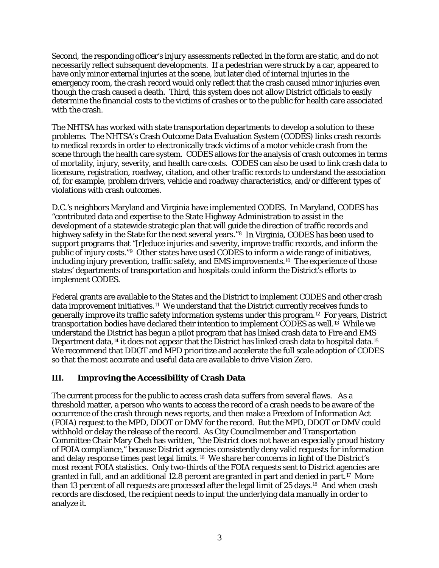Second, the responding officer's injury assessments reflected in the form are static, and do not necessarily reflect subsequent developments. If a pedestrian were struck by a car, appeared to have only minor external injuries at the scene, but later died of internal injuries in the emergency room, the crash record would only reflect that the crash caused minor injuries even though the crash caused a death. Third, this system does not allow District officials to easily determine the financial costs to the victims of crashes or to the public for health care associated with the crash.

The NHTSA has worked with state transportation departments to develop a solution to these problems. The NHTSA's Crash Outcome Data Evaluation System (CODES) links crash records to medical records in order to electronically track victims of a motor vehicle crash from the scene through the health care system. CODES allows for the analysis of crash outcomes in terms of mortality, injury, severity, and health care costs. CODES can also be used to link crash data to licensure, registration, roadway, citation, and other traffic records to understand the association of, for example, problem drivers, vehicle and roadway characteristics, and/or different types of violations with crash outcomes.

D.C.'s neighbors Maryland and Virginia have implemented CODES. In Maryland, CODES has "contributed data and expertise to the State Highway Administration to assist in the development of a statewide strategic plan that will guide the direction of traffic records and highway safety in the State for the next several years."<sup>[8](#page-4-7)</sup> In Virginia, CODES has been used to support programs that "[r]educe injuries and severity, improve traffic records, and inform the public of injury costs."[9](#page-4-8) Other states have used CODES to inform a wide range of initiatives, including injury prevention, traffic safety, and EMS improvements.[10](#page-4-9) The experience of those states' departments of transportation and hospitals could inform the District's efforts to implement CODES.

Federal grants are available to the States and the District to implement CODES and other crash data improvement initiatives.[11](#page-4-10) We understand that the District currently receives funds to generally improve its traffic safety information systems under this program.[12](#page-4-11) For years, District transportation bodies have declared their intention to implement CODES as well.<sup>13</sup> While we understand the District has begun a pilot program that has linked crash data to Fire and EMS Department data,<sup>[14](#page-4-13)</sup> it does not appear that the District has linked crash data to hospital data.<sup>15</sup> We recommend that DDOT and MPD prioritize and accelerate the full scale adoption of CODES so that the most accurate and useful data are available to drive Vision Zero.

## **III. Improving the Accessibility of Crash Data**

The current process for the public to access crash data suffers from several flaws. As a threshold matter, a person who wants to access the record of a crash needs to be aware of the occurrence of the crash through news reports, and then make a Freedom of Information Act (FOIA) request to the MPD, DDOT or DMV for the record. But the MPD, DDOT or DMV could withhold or delay the release of the record. As City Councilmember and Transportation Committee Chair Mary Cheh has written, "the District does not have an especially proud history of FOIA compliance," because District agencies consistently deny valid requests for information and delay response times past legal limits. [16](#page-4-15) We share her concerns in light of the District's most recent FOIA statistics. Only two-thirds of the FOIA requests sent to District agencies are granted in full, and an additional 12.8 percent are granted in part and denied in part.[17](#page-4-16) More than 13 percent of all requests are processed after the legal limit of 25 days.[18](#page-4-17) And when crash records are disclosed, the recipient needs to input the underlying data manually in order to analyze it.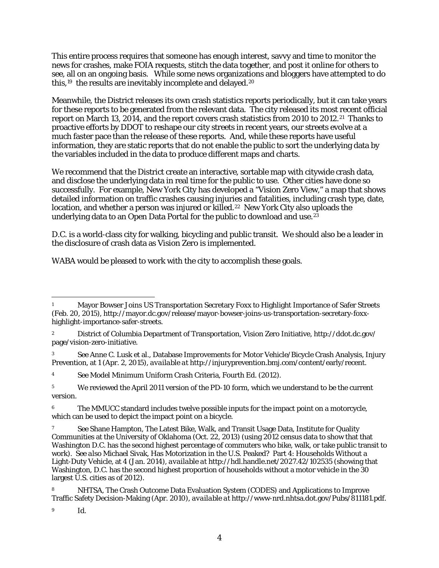This entire process requires that someone has enough interest, savvy and time to monitor the news for crashes, make FOIA requests, stitch the data together, and post it online for others to see, all on an ongoing basis. While some news organizations and bloggers have attempted to do this,<sup>19</sup> the results are inevitably incomplete and delayed.<sup>[20](#page-4-19)</sup>

Meanwhile, the District releases its own crash statistics reports periodically, but it can take years for these reports to be generated from the relevant data. The city released its most recent official report on March 13, 2014, and the report covers crash statistics from 2010 to 2012.[21](#page-4-20) Thanks to proactive efforts by DDOT to reshape our city streets in recent years, our streets evolve at a much faster pace than the release of these reports. And, while these reports have useful information, they are static reports that do not enable the public to sort the underlying data by the variables included in the data to produce different maps and charts.

We recommend that the District create an interactive, sortable map with citywide crash data, and disclose the underlying data in real time for the public to use. Other cities have done so successfully. For example, New York City has developed a "Vision Zero View," a map that shows detailed information on traffic crashes causing injuries and fatalities, including crash type, date, location, and whether a person was injured or killed.<sup>22</sup> New York City also uploads the underlying data to an Open Data Portal for the public to download and use.<sup>23</sup>

D.C. is a world-class city for walking, bicycling and public transit. We should also be a leader in the disclosure of crash data as Vision Zero is implemented.

WABA would be pleased to work with the city to accomplish these goals.

 $\overline{a}$ <sup>1</sup> Mayor Bowser Joins US Transportation Secretary Foxx to Highlight Importance of Safer Streets (Feb. 20, 2015), http://mayor.dc.gov/release/mayor-bowser-joins-us-transportation-secretary-foxxhighlight-importance-safer-streets.

<sup>2</sup> District of Columbia Department of Transportation, Vision Zero Initiative, http://ddot.dc.gov/ page/vision-zero-initiative.

<sup>3</sup> *See* Anne C. Lusk et al., Database Improvements for Motor Vehicle/Bicycle Crash Analysis, Injury Prevention, at 1 (Apr. 2, 2015), *available at* http://injuryprevention.bmj.com/content/early/recent.

<sup>4</sup> *See* Model Minimum Uniform Crash Criteria, Fourth Ed. (2012).

<sup>&</sup>lt;sup>5</sup> We reviewed the April 2011 version of the PD-10 form, which we understand to be the current version.

The MMUCC standard includes twelve possible inputs for the impact point on a motorcycle, which can be used to depict the impact point on a bicycle.

<sup>7</sup> *See* Shane Hampton, The Latest Bike, Walk, and Transit Usage Data, Institute for Quality Communities at the University of Oklahoma (Oct. 22, 2013) (using 2012 census data to show that that Washington D.C. has the second highest percentage of commuters who bike, walk, or take public transit to work). *See also* Michael Sivak, Has Motorization in the U.S. Peaked? Part 4: Households Without a Light-Duty Vehicle, at 4 (Jan. 2014), *available at* http://hdl.handle.net/2027.42/102535 (showing that Washington, D.C. has the second highest proportion of households without a motor vehicle in the 30 largest  $\overline{U}$ .S. cities as of 2012).

<sup>8</sup> NHTSA, The Crash Outcome Data Evaluation System (CODES) and Applications to Improve Traffic Safety Decision-Making (Apr. 2010), *available at* http://www-nrd.nhtsa.dot.gov/Pubs/811181.pdf.

<sup>9</sup> *Id.*